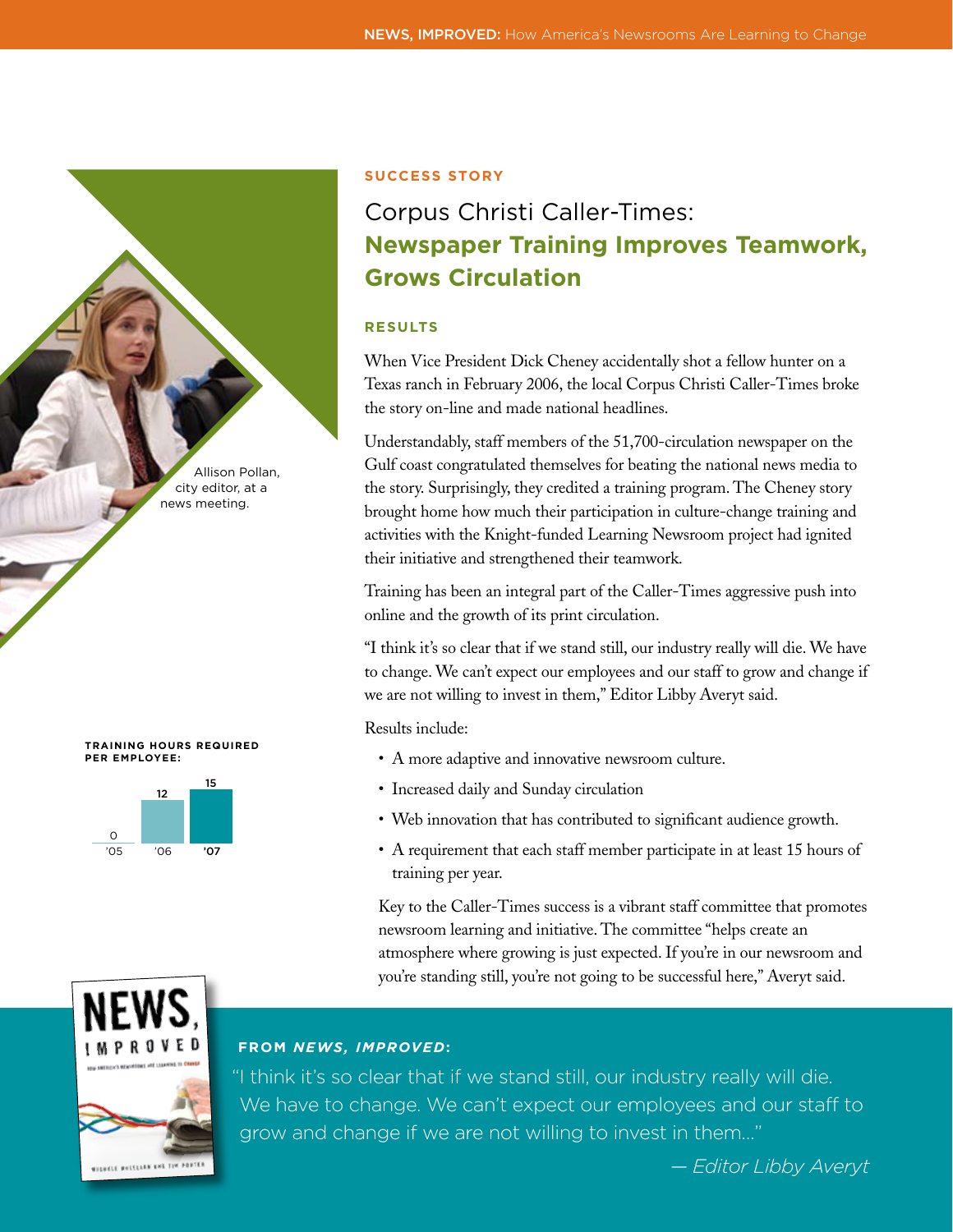





#### **Success Story**

# Corpus Christi Caller-Times: **Newspaper Training Improves Teamwork, Grows Circulation**

## **RESULTS**

When Vice President Dick Cheney accidentally shot a fellow hunter on a Texas ranch in February 2006, the local Corpus Christi Caller-Times broke the story on-line and made national headlines.

Understandably, staff members of the 51,700-circulation newspaper on the Gulf coast congratulated themselves for beating the national news media to the story. Surprisingly, they credited a training program. The Cheney story brought home how much their participation in culture-change training and activities with the Knight-funded Learning Newsroom project had ignited their initiative and strengthened their teamwork.

Training has been an integral part of the Caller-Times aggressive push into online and the growth of its print circulation.

"I think it's so clear that if we stand still, our industry really will die. We have to change. We can't expect our employees and our staff to grow and change if we are not willing to invest in them," Editor Libby Averyt said.

Results include:

- A more adaptive and innovative newsroom culture.
- Increased daily and Sunday circulation
- Web innovation that has contributed to significant audience growth.
- A requirement that each staff member participate in at least 15 hours of training per year.

Key to the Caller-Times success is a vibrant staff committee that promotes newsroom learning and initiative. The committee "helps create an atmosphere where growing is just expected. If you're in our newsroom and you're standing still, you're not going to be successful here," Averyt said.



# **FROM** *NEWS, IMPROVED***:**

"I think it's so clear that if we stand still, our industry really will die. We have to change. We can't expect our employees and our staff to grow and change if we are not willing to invest in them…"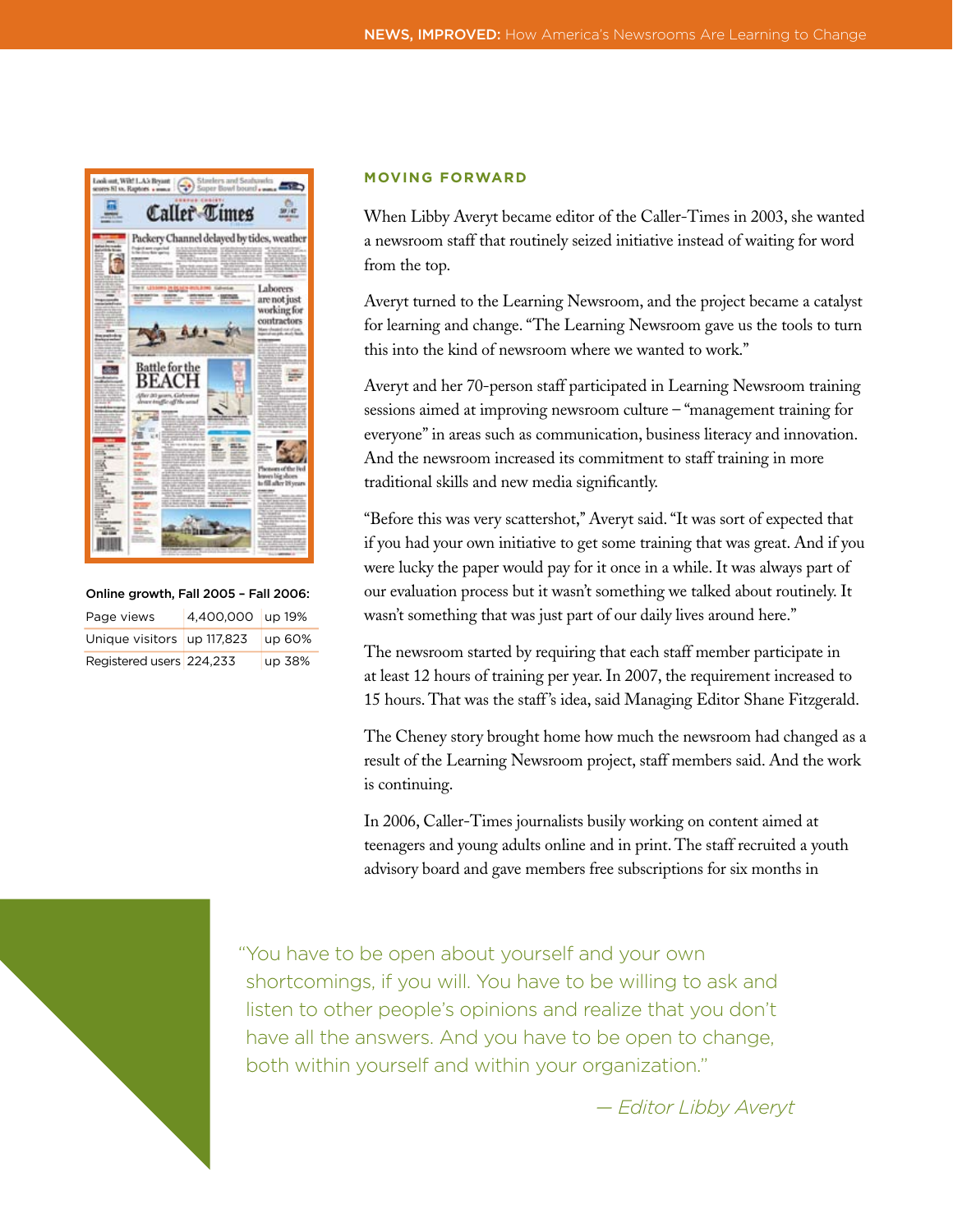

| Online growth, Fall 2005 - Fall 2006: |                  |        |
|---------------------------------------|------------------|--------|
| Page views                            | 4.400.000 up 19% |        |
| Unique visitors up 117,823            |                  | up 60% |
| Registered users 224,233              |                  | up 38% |

#### **MOVING FORWARD**

When Libby Averyt became editor of the Caller-Times in 2003, she wanted a newsroom staff that routinely seized initiative instead of waiting for word from the top.

Averyt turned to the Learning Newsroom, and the project became a catalyst for learning and change. "The Learning Newsroom gave us the tools to turn this into the kind of newsroom where we wanted to work."

Averyt and her 70-person staff participated in Learning Newsroom training sessions aimed at improving newsroom culture – "management training for everyone" in areas such as communication, business literacy and innovation. And the newsroom increased its commitment to staff training in more traditional skills and new media significantly.

"Before this was very scattershot,'' Averyt said. "It was sort of expected that if you had your own initiative to get some training that was great. And if you were lucky the paper would pay for it once in a while. It was always part of our evaluation process but it wasn't something we talked about routinely. It wasn't something that was just part of our daily lives around here."

The newsroom started by requiring that each staff member participate in at least 12 hours of training per year. In 2007, the requirement increased to 15 hours. That was the staff 's idea, said Managing Editor Shane Fitzgerald.

The Cheney story brought home how much the newsroom had changed as a result of the Learning Newsroom project, staff members said. And the work is continuing.

In 2006, Caller-Times journalists busily working on content aimed at teenagers and young adults online and in print. The staff recruited a youth advisory board and gave members free subscriptions for six months in



"You have to be open about yourself and your own shortcomings, if you will. You have to be willing to ask and listen to other people's opinions and realize that you don't have all the answers. And you have to be open to change, both within yourself and within your organization."

*— Editor Libby Averyt*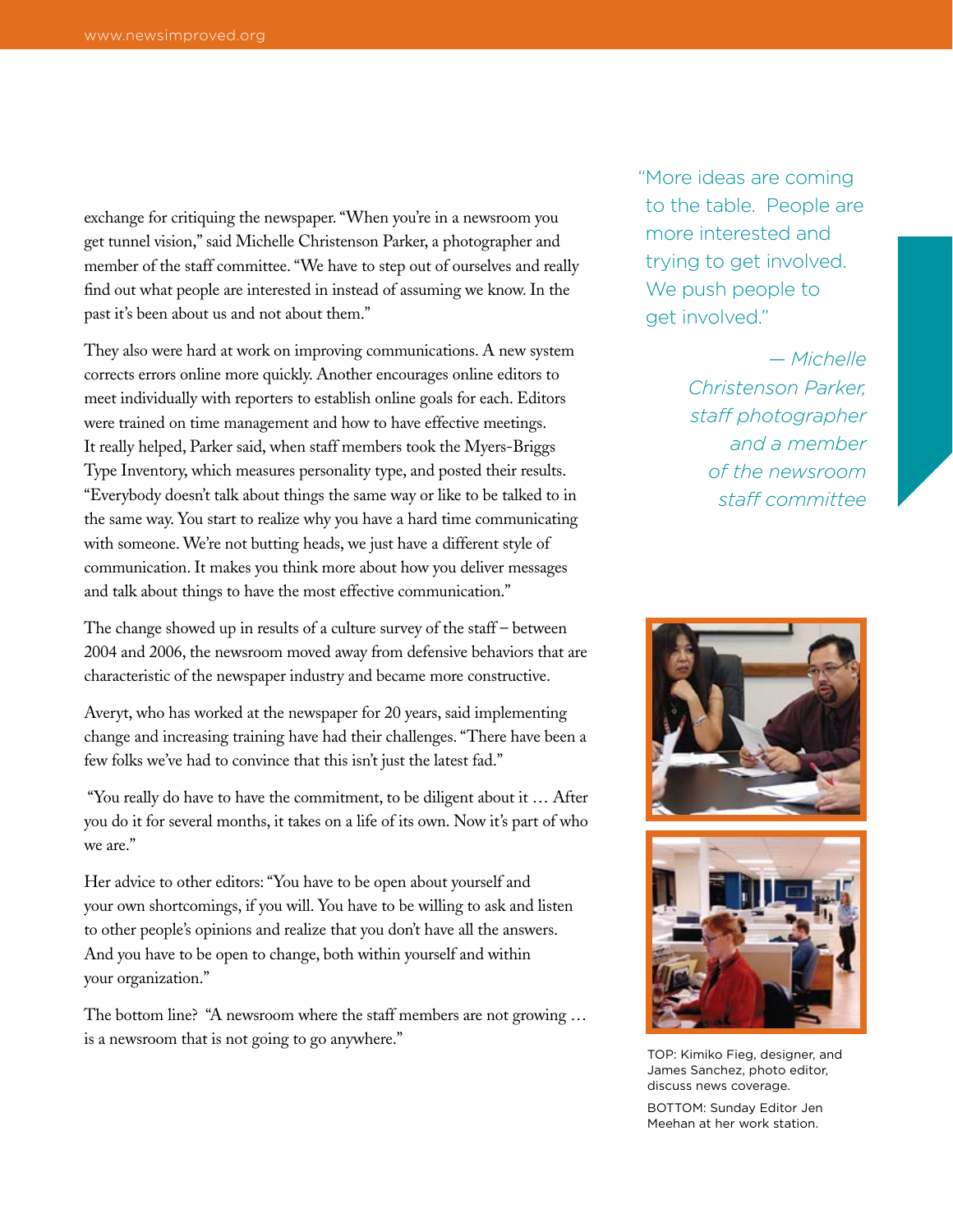exchange for critiquing the newspaper. "When you're in a newsroom you get tunnel vision," said Michelle Christenson Parker, a photographer and member of the staff committee. "We have to step out of ourselves and really find out what people are interested in instead of assuming we know. In the past it's been about us and not about them."

They also were hard at work on improving communications. A new system corrects errors online more quickly. Another encourages online editors to meet individually with reporters to establish online goals for each. Editors were trained on time management and how to have effective meetings. It really helped, Parker said, when staff members took the Myers-Briggs Type Inventory, which measures personality type, and posted their results. "Everybody doesn't talk about things the same way or like to be talked to in the same way. You start to realize why you have a hard time communicating with someone. We're not butting heads, we just have a different style of communication. It makes you think more about how you deliver messages and talk about things to have the most effective communication."

The change showed up in results of a culture survey of the staff – between 2004 and 2006, the newsroom moved away from defensive behaviors that are characteristic of the newspaper industry and became more constructive.

Averyt, who has worked at the newspaper for 20 years, said implementing change and increasing training have had their challenges. "There have been a few folks we've had to convince that this isn't just the latest fad."

 "You really do have to have the commitment, to be diligent about it … After you do it for several months, it takes on a life of its own. Now it's part of who we are."

Her advice to other editors: "You have to be open about yourself and your own shortcomings, if you will. You have to be willing to ask and listen to other people's opinions and realize that you don't have all the answers. And you have to be open to change, both within yourself and within your organization."

The bottom line? "A newsroom where the staff members are not growing … is a newsroom that is not going to go anywhere."

"More ideas are coming to the table. People are more interested and trying to get involved. We push people to get involved."

> *— Michelle Christenson Parker, staff photographer and a member of the newsroom staff committee*





TOP: Kimiko Fieg, designer, and James Sanchez, photo editor, discuss news coverage.

BOTTOM: Sunday Editor Jen Meehan at her work station.